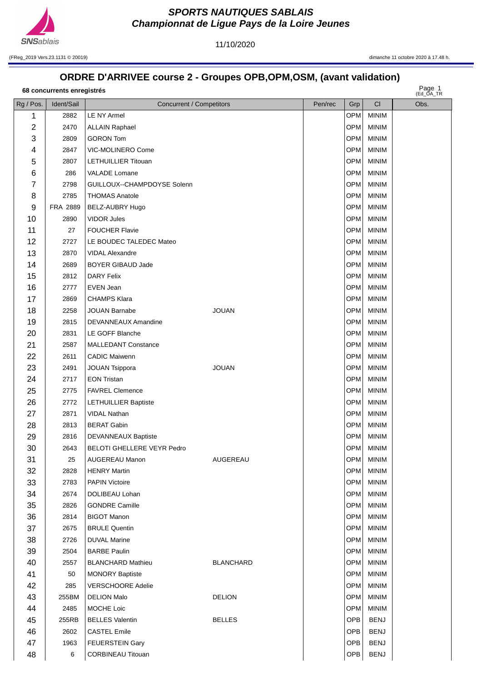

11/10/2020

(FReg\_2019 Vers.23.1131 © 20019) dimanche 11 octobre 2020 à 17.48 h.

## **ORDRE D'ARRIVEE course 2 - Groupes OPB,OPM,OSM, (avant validation)**

| 68 concurrents enregistrés | Page 1       |
|----------------------------|--------------|
|                            | $(FA \cap A$ |

Page  $1$ 

| Rg / Pos.               | Ident/Sail | Concurrent / Competitors    |                  | Pen/rec | Grp        | CI           | $($ EU_UA_IR<br>Obs. |
|-------------------------|------------|-----------------------------|------------------|---------|------------|--------------|----------------------|
| 1                       | 2882       | LE NY Armel                 |                  |         | OPM        | <b>MINIM</b> |                      |
| $\overline{\mathbf{c}}$ | 2470       | <b>ALLAIN Raphael</b>       |                  |         | OPM        | <b>MINIM</b> |                      |
| 3                       | 2809       | <b>GORON Tom</b>            |                  |         | OPM        | <b>MINIM</b> |                      |
| 4                       | 2847       | VIC-MOLINERO Come           |                  |         | OPM        | <b>MINIM</b> |                      |
| 5                       | 2807       | LETHUILLIER Titouan         |                  |         | <b>OPM</b> | <b>MINIM</b> |                      |
| 6                       | 286        | VALADE Lomane               |                  |         | OPM        | <b>MINIM</b> |                      |
| $\overline{7}$          | 2798       | GUILLOUX--CHAMPDOYSE Solenn |                  |         | OPM        | <b>MINIM</b> |                      |
| 8                       | 2785       | <b>THOMAS Anatole</b>       |                  |         | OPM        | <b>MINIM</b> |                      |
| 9                       | FRA 2889   | BELZ-AUBRY Hugo             |                  |         | OPM        | <b>MINIM</b> |                      |
| 10                      | 2890       | <b>VIDOR Jules</b>          |                  |         | OPM        | <b>MINIM</b> |                      |
| 11                      | 27         | <b>FOUCHER Flavie</b>       |                  |         | OPM        | <b>MINIM</b> |                      |
| 12                      | 2727       | LE BOUDEC TALEDEC Mateo     |                  |         | OPM        | <b>MINIM</b> |                      |
| 13                      | 2870       | <b>VIDAL Alexandre</b>      |                  |         | OPM        | <b>MINIM</b> |                      |
| 14                      | 2689       | <b>BOYER GIBAUD Jade</b>    |                  |         | OPM        | <b>MINIM</b> |                      |
| 15                      | 2812       | DARY Felix                  |                  |         | OPM        | <b>MINIM</b> |                      |
| 16                      | 2777       | EVEN Jean                   |                  |         | OPM        | <b>MINIM</b> |                      |
| 17                      | 2869       | <b>CHAMPS Klara</b>         |                  |         | OPM        | <b>MINIM</b> |                      |
| 18                      | 2258       | <b>JOUAN Barnabe</b>        | <b>JOUAN</b>     |         | OPM        | <b>MINIM</b> |                      |
| 19                      | 2815       | DEVANNEAUX Amandine         |                  |         | OPM        | <b>MINIM</b> |                      |
| 20                      | 2831       | LE GOFF Blanche             |                  |         | OPM        | <b>MINIM</b> |                      |
| 21                      | 2587       | <b>MALLEDANT Constance</b>  |                  |         | OPM        | <b>MINIM</b> |                      |
| 22                      | 2611       | <b>CADIC Maiwenn</b>        |                  |         | OPM        | <b>MINIM</b> |                      |
| 23                      | 2491       | JOUAN Tsippora              | <b>JOUAN</b>     |         | OPM        | <b>MINIM</b> |                      |
| 24                      | 2717       | <b>EON Tristan</b>          |                  |         | OPM        | <b>MINIM</b> |                      |
| 25                      | 2775       | <b>FAVREL Clemence</b>      |                  |         | OPM        | <b>MINIM</b> |                      |
| 26                      | 2772       | <b>LETHUILLIER Baptiste</b> |                  |         | OPM        | <b>MINIM</b> |                      |
| 27                      | 2871       | <b>VIDAL Nathan</b>         |                  |         | <b>OPM</b> | <b>MINIM</b> |                      |
| 28                      | 2813       | <b>BERAT Gabin</b>          |                  |         | OPM        | <b>MINIM</b> |                      |
| 29                      | 2816       | DEVANNEAUX Baptiste         |                  |         | OPM        | <b>MINIM</b> |                      |
| 30                      | 2643       | BELOTI GHELLERE VEYR Pedro  |                  |         | OPM        | <b>MINIM</b> |                      |
| 31                      | 25         | AUGEREAU Manon              | AUGEREAU         |         | OPM        | MINIM        |                      |
| 32                      | 2828       | <b>HENRY Martin</b>         |                  |         | OPM        | <b>MINIM</b> |                      |
| 33                      | 2783       | <b>PAPIN Victoire</b>       |                  |         | OPM        | <b>MINIM</b> |                      |
| 34                      | 2674       | DOLIBEAU Lohan              |                  |         | OPM        | <b>MINIM</b> |                      |
| 35                      | 2826       | <b>GONDRE Camille</b>       |                  |         | OPM        | <b>MINIM</b> |                      |
| 36                      | 2814       | <b>BIGOT Manon</b>          |                  |         | <b>OPM</b> | <b>MINIM</b> |                      |
| 37                      | 2675       | <b>BRULE Quentin</b>        |                  |         | OPM        | <b>MINIM</b> |                      |
| 38                      | 2726       | <b>DUVAL Marine</b>         |                  |         | OPM        | <b>MINIM</b> |                      |
| 39                      | 2504       | <b>BARBE Paulin</b>         |                  |         | OPM        | <b>MINIM</b> |                      |
| 40                      | 2557       | <b>BLANCHARD Mathieu</b>    | <b>BLANCHARD</b> |         | OPM        | <b>MINIM</b> |                      |
| 41                      | 50         | <b>MONORY Baptiste</b>      |                  |         | OPM        | <b>MINIM</b> |                      |
| 42                      | 285        | <b>VERSCHOORE Adelie</b>    |                  |         | OPM        | <b>MINIM</b> |                      |
| 43                      | 255BM      | <b>DELION Malo</b>          | <b>DELION</b>    |         | OPM        | <b>MINIM</b> |                      |
| 44                      | 2485       | MOCHE Loic                  |                  |         | <b>OPM</b> | <b>MINIM</b> |                      |
| 45                      | 255RB      | <b>BELLES Valentin</b>      | <b>BELLES</b>    |         | <b>OPB</b> | <b>BENJ</b>  |                      |
| 46                      | 2602       | <b>CASTEL Emile</b>         |                  |         | OPB.       | <b>BENJ</b>  |                      |
| 47                      | 1963       | <b>FEUERSTEIN Gary</b>      |                  |         | <b>OPB</b> | <b>BENJ</b>  |                      |
| 48                      | 6          | <b>CORBINEAU Titouan</b>    |                  |         | OPB        | <b>BENJ</b>  |                      |